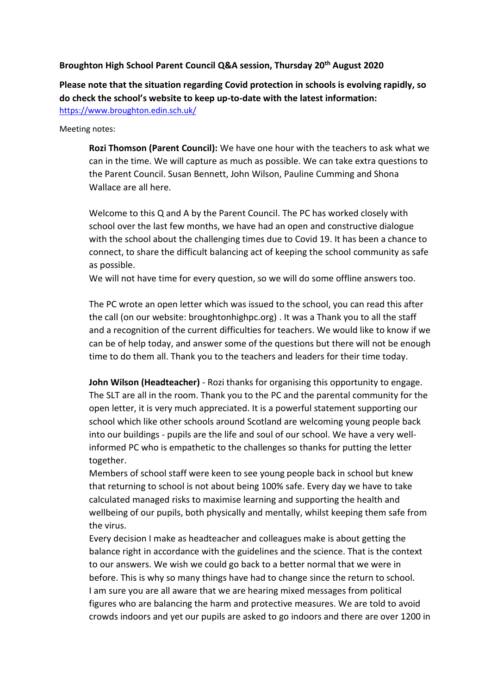#### **Broughton High School Parent Council Q&A session, Thursday 20th August 2020**

**Please note that the situation regarding Covid protection in schools is evolving rapidly, so do check the school's website to keep up-to-date with the latest information:**  <https://www.broughton.edin.sch.uk/>

Meeting notes:

**Rozi Thomson (Parent Council):** We have one hour with the teachers to ask what we can in the time. We will capture as much as possible. We can take extra questions to the Parent Council. Susan Bennett, John Wilson, Pauline Cumming and Shona Wallace are all here.

Welcome to this Q and A by the Parent Council. The PC has worked closely with school over the last few months, we have had an open and constructive dialogue with the school about the challenging times due to Covid 19. It has been a chance to connect, to share the difficult balancing act of keeping the school community as safe as possible.

We will not have time for every question, so we will do some offline answers too.

The PC wrote an open letter which was issued to the school, you can read this after the call (on our website: broughtonhighpc.org) . It was a Thank you to all the staff and a recognition of the current difficulties for teachers. We would like to know if we can be of help today, and answer some of the questions but there will not be enough time to do them all. Thank you to the teachers and leaders for their time today.

**John Wilson (Headteacher)** - Rozi thanks for organising this opportunity to engage. The SLT are all in the room. Thank you to the PC and the parental community for the open letter, it is very much appreciated. It is a powerful statement supporting our school which like other schools around Scotland are welcoming young people back into our buildings - pupils are the life and soul of our school. We have a very wellinformed PC who is empathetic to the challenges so thanks for putting the letter together.

Members of school staff were keen to see young people back in school but knew that returning to school is not about being 100% safe. Every day we have to take calculated managed risks to maximise learning and supporting the health and wellbeing of our pupils, both physically and mentally, whilst keeping them safe from the virus.

Every decision I make as headteacher and colleagues make is about getting the balance right in accordance with the guidelines and the science. That is the context to our answers. We wish we could go back to a better normal that we were in before. This is why so many things have had to change since the return to school. I am sure you are all aware that we are hearing mixed messages from political figures who are balancing the harm and protective measures. We are told to avoid crowds indoors and yet our pupils are asked to go indoors and there are over 1200 in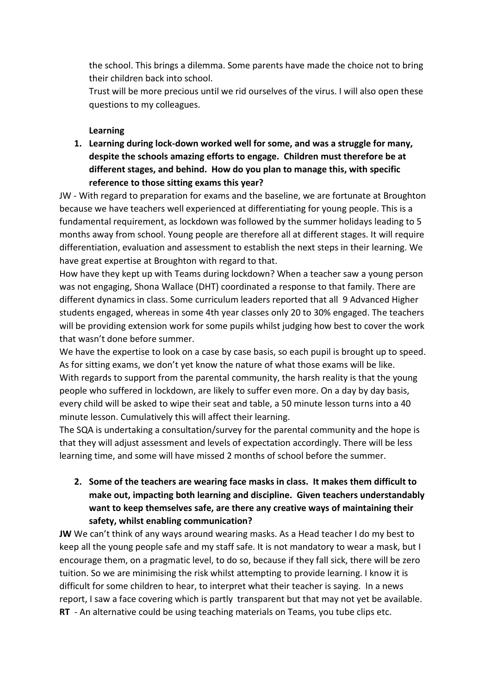the school. This brings a dilemma. Some parents have made the choice not to bring their children back into school.

Trust will be more precious until we rid ourselves of the virus. I will also open these questions to my colleagues.

### **Learning**

**1. Learning during lock-down worked well for some, and was a struggle for many, despite the schools amazing efforts to engage. Children must therefore be at different stages, and behind. How do you plan to manage this, with specific reference to those sitting exams this year?**

JW - With regard to preparation for exams and the baseline, we are fortunate at Broughton because we have teachers well experienced at differentiating for young people. This is a fundamental requirement, as lockdown was followed by the summer holidays leading to 5 months away from school. Young people are therefore all at different stages. It will require differentiation, evaluation and assessment to establish the next steps in their learning. We have great expertise at Broughton with regard to that.

How have they kept up with Teams during lockdown? When a teacher saw a young person was not engaging, Shona Wallace (DHT) coordinated a response to that family. There are different dynamics in class. Some curriculum leaders reported that all 9 Advanced Higher students engaged, whereas in some 4th year classes only 20 to 30% engaged. The teachers will be providing extension work for some pupils whilst judging how best to cover the work that wasn't done before summer.

We have the expertise to look on a case by case basis, so each pupil is brought up to speed. As for sitting exams, we don't yet know the nature of what those exams will be like. With regards to support from the parental community, the harsh reality is that the young people who suffered in lockdown, are likely to suffer even more. On a day by day basis, every child will be asked to wipe their seat and table, a 50 minute lesson turns into a 40 minute lesson. Cumulatively this will affect their learning.

The SQA is undertaking a consultation/survey for the parental community and the hope is that they will adjust assessment and levels of expectation accordingly. There will be less learning time, and some will have missed 2 months of school before the summer.

**2. Some of the teachers are wearing face masks in class. It makes them difficult to make out, impacting both learning and discipline. Given teachers understandably want to keep themselves safe, are there any creative ways of maintaining their safety, whilst enabling communication?**

**JW** We can't think of any ways around wearing masks. As a Head teacher I do my best to keep all the young people safe and my staff safe. It is not mandatory to wear a mask, but I encourage them, on a pragmatic level, to do so, because if they fall sick, there will be zero tuition. So we are minimising the risk whilst attempting to provide learning. I know it is difficult for some children to hear, to interpret what their teacher is saying. In a news report, I saw a face covering which is partly transparent but that may not yet be available. **RT** - An alternative could be using teaching materials on Teams, you tube clips etc.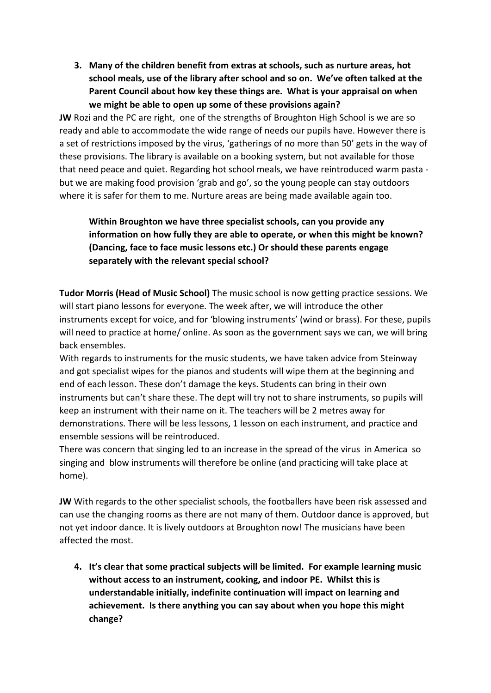**3. Many of the children benefit from extras at schools, such as nurture areas, hot school meals, use of the library after school and so on. We've often talked at the Parent Council about how key these things are. What is your appraisal on when we might be able to open up some of these provisions again?**

**JW** Rozi and the PC are right, one of the strengths of Broughton High School is we are so ready and able to accommodate the wide range of needs our pupils have. However there is a set of restrictions imposed by the virus, 'gatherings of no more than 50' gets in the way of these provisions. The library is available on a booking system, but not available for those that need peace and quiet. Regarding hot school meals, we have reintroduced warm pasta but we are making food provision 'grab and go', so the young people can stay outdoors where it is safer for them to me. Nurture areas are being made available again too.

## **Within Broughton we have three specialist schools, can you provide any information on how fully they are able to operate, or when this might be known? (Dancing, face to face music lessons etc.) Or should these parents engage separately with the relevant special school?**

**Tudor Morris (Head of Music School)** The music school is now getting practice sessions. We will start piano lessons for everyone. The week after, we will introduce the other instruments except for voice, and for 'blowing instruments' (wind or brass). For these, pupils will need to practice at home/ online. As soon as the government says we can, we will bring back ensembles.

With regards to instruments for the music students, we have taken advice from Steinway and got specialist wipes for the pianos and students will wipe them at the beginning and end of each lesson. These don't damage the keys. Students can bring in their own instruments but can't share these. The dept will try not to share instruments, so pupils will keep an instrument with their name on it. The teachers will be 2 metres away for demonstrations. There will be less lessons, 1 lesson on each instrument, and practice and ensemble sessions will be reintroduced.

There was concern that singing led to an increase in the spread of the virus in America so singing and blow instruments will therefore be online (and practicing will take place at home).

**JW** With regards to the other specialist schools, the footballers have been risk assessed and can use the changing rooms as there are not many of them. Outdoor dance is approved, but not yet indoor dance. It is lively outdoors at Broughton now! The musicians have been affected the most.

**4. It's clear that some practical subjects will be limited. For example learning music without access to an instrument, cooking, and indoor PE. Whilst this is understandable initially, indefinite continuation will impact on learning and achievement. Is there anything you can say about when you hope this might change?**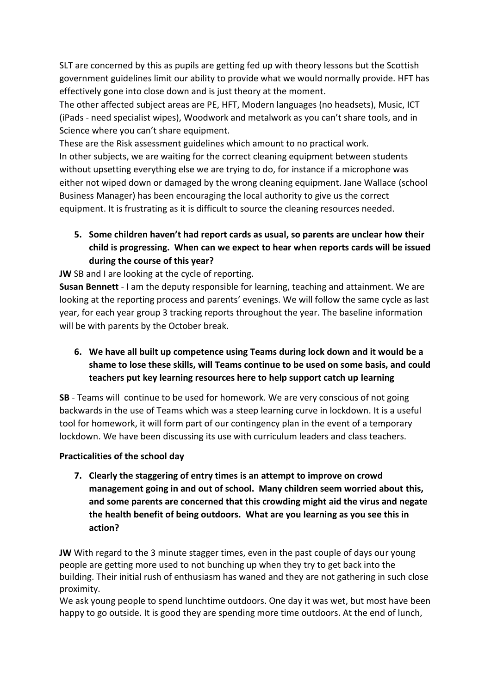SLT are concerned by this as pupils are getting fed up with theory lessons but the Scottish government guidelines limit our ability to provide what we would normally provide. HFT has effectively gone into close down and is just theory at the moment.

The other affected subject areas are PE, HFT, Modern languages (no headsets), Music, ICT (iPads - need specialist wipes), Woodwork and metalwork as you can't share tools, and in Science where you can't share equipment.

These are the Risk assessment guidelines which amount to no practical work. In other subjects, we are waiting for the correct cleaning equipment between students without upsetting everything else we are trying to do, for instance if a microphone was either not wiped down or damaged by the wrong cleaning equipment. Jane Wallace (school Business Manager) has been encouraging the local authority to give us the correct equipment. It is frustrating as it is difficult to source the cleaning resources needed.

**5. Some children haven't had report cards as usual, so parents are unclear how their child is progressing. When can we expect to hear when reports cards will be issued during the course of this year?**

**JW** SB and I are looking at the cycle of reporting.

**Susan Bennett** - I am the deputy responsible for learning, teaching and attainment. We are looking at the reporting process and parents' evenings. We will follow the same cycle as last year, for each year group 3 tracking reports throughout the year. The baseline information will be with parents by the October break.

**6. We have all built up competence using Teams during lock down and it would be a shame to lose these skills, will Teams continue to be used on some basis, and could teachers put key learning resources here to help support catch up learning**

**SB** - Teams will continue to be used for homework. We are very conscious of not going backwards in the use of Teams which was a steep learning curve in lockdown. It is a useful tool for homework, it will form part of our contingency plan in the event of a temporary lockdown. We have been discussing its use with curriculum leaders and class teachers.

### **Practicalities of the school day**

**7. Clearly the staggering of entry times is an attempt to improve on crowd management going in and out of school. Many children seem worried about this, and some parents are concerned that this crowding might aid the virus and negate the health benefit of being outdoors. What are you learning as you see this in action?**

**JW** With regard to the 3 minute stagger times, even in the past couple of days our young people are getting more used to not bunching up when they try to get back into the building. Their initial rush of enthusiasm has waned and they are not gathering in such close proximity.

We ask young people to spend lunchtime outdoors. One day it was wet, but most have been happy to go outside. It is good they are spending more time outdoors. At the end of lunch,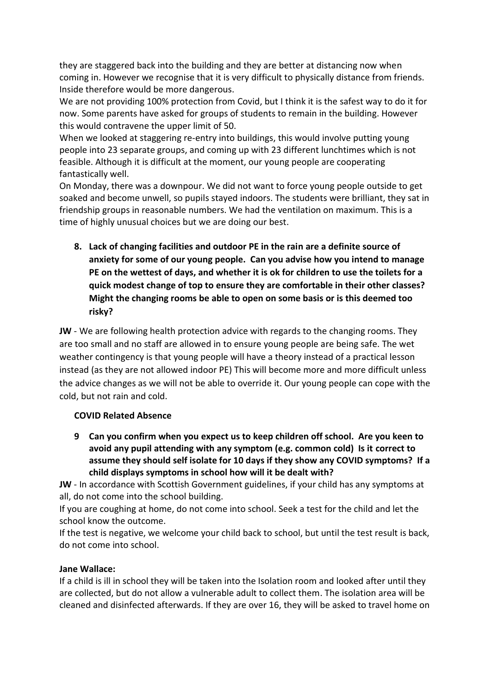they are staggered back into the building and they are better at distancing now when coming in. However we recognise that it is very difficult to physically distance from friends. Inside therefore would be more dangerous.

We are not providing 100% protection from Covid, but I think it is the safest way to do it for now. Some parents have asked for groups of students to remain in the building. However this would contravene the upper limit of 50.

When we looked at staggering re-entry into buildings, this would involve putting young people into 23 separate groups, and coming up with 23 different lunchtimes which is not feasible. Although it is difficult at the moment, our young people are cooperating fantastically well.

On Monday, there was a downpour. We did not want to force young people outside to get soaked and become unwell, so pupils stayed indoors. The students were brilliant, they sat in friendship groups in reasonable numbers. We had the ventilation on maximum. This is a time of highly unusual choices but we are doing our best.

**8. Lack of changing facilities and outdoor PE in the rain are a definite source of anxiety for some of our young people. Can you advise how you intend to manage PE on the wettest of days, and whether it is ok for children to use the toilets for a quick modest change of top to ensure they are comfortable in their other classes? Might the changing rooms be able to open on some basis or is this deemed too risky?**

**JW** - We are following health protection advice with regards to the changing rooms. They are too small and no staff are allowed in to ensure young people are being safe. The wet weather contingency is that young people will have a theory instead of a practical lesson instead (as they are not allowed indoor PE) This will become more and more difficult unless the advice changes as we will not be able to override it. Our young people can cope with the cold, but not rain and cold.

#### **COVID Related Absence**

**9 Can you confirm when you expect us to keep children off school. Are you keen to avoid any pupil attending with any symptom (e.g. common cold) Is it correct to assume they should self isolate for 10 days if they show any COVID symptoms? If a child displays symptoms in school how will it be dealt with?**

**JW** - In accordance with Scottish Government guidelines, if your child has any symptoms at all, do not come into the school building.

If you are coughing at home, do not come into school. Seek a test for the child and let the school know the outcome.

If the test is negative, we welcome your child back to school, but until the test result is back, do not come into school.

#### **Jane Wallace:**

If a child is ill in school they will be taken into the Isolation room and looked after until they are collected, but do not allow a vulnerable adult to collect them. The isolation area will be cleaned and disinfected afterwards. If they are over 16, they will be asked to travel home on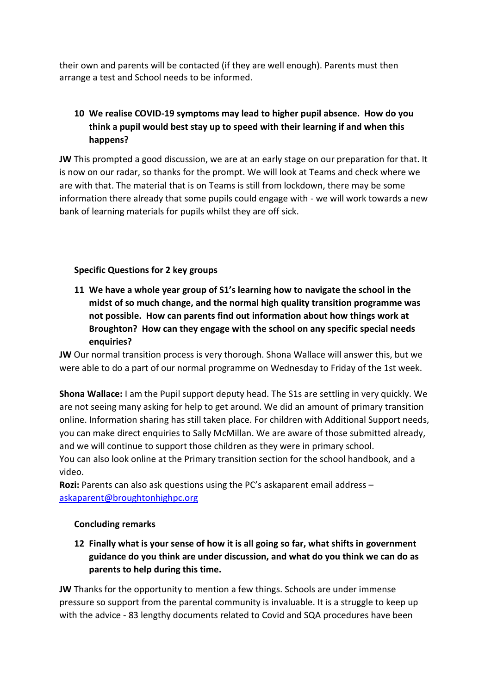their own and parents will be contacted (if they are well enough). Parents must then arrange a test and School needs to be informed.

# **10 We realise COVID-19 symptoms may lead to higher pupil absence. How do you think a pupil would best stay up to speed with their learning if and when this happens?**

**JW** This prompted a good discussion, we are at an early stage on our preparation for that. It is now on our radar, so thanks for the prompt. We will look at Teams and check where we are with that. The material that is on Teams is still from lockdown, there may be some information there already that some pupils could engage with - we will work towards a new bank of learning materials for pupils whilst they are off sick.

### **Specific Questions for 2 key groups**

**11 We have a whole year group of S1's learning how to navigate the school in the midst of so much change, and the normal high quality transition programme was not possible. How can parents find out information about how things work at Broughton? How can they engage with the school on any specific special needs enquiries?** 

**JW** Our normal transition process is very thorough. Shona Wallace will answer this, but we were able to do a part of our normal programme on Wednesday to Friday of the 1st week.

**Shona Wallace:** I am the Pupil support deputy head. The S1s are settling in very quickly. We are not seeing many asking for help to get around. We did an amount of primary transition online. Information sharing has still taken place. For children with Additional Support needs, you can make direct enquiries to Sally McMillan. We are aware of those submitted already, and we will continue to support those children as they were in primary school.

You can also look online at the Primary transition section for the school handbook, and a video.

**Rozi:** Parents can also ask questions using the PC's askaparent email address – [askaparent@broughtonhighpc.org](mailto:askaparent@broughtonhighpc.org)

#### **Concluding remarks**

**12 Finally what is your sense of how it is all going so far, what shifts in government guidance do you think are under discussion, and what do you think we can do as parents to help during this time.**

**JW** Thanks for the opportunity to mention a few things. Schools are under immense pressure so support from the parental community is invaluable. It is a struggle to keep up with the advice - 83 lengthy documents related to Covid and SQA procedures have been